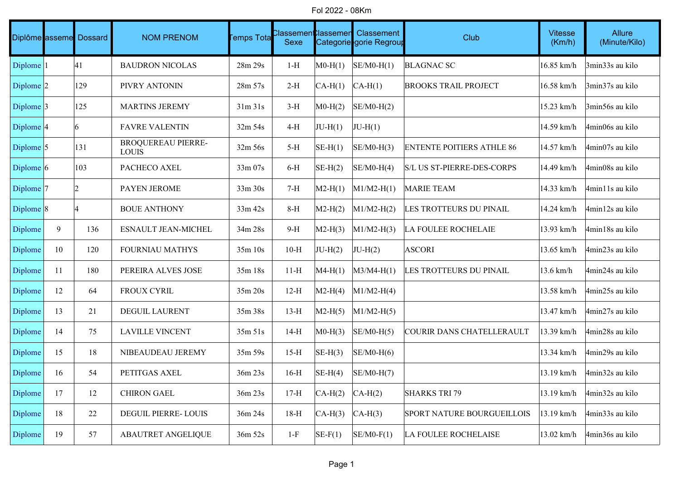Fol 2022 - 08Km

|                      |    | Diplôme asseme Dossard | <b>NOM PRENOM</b>                         | Temps Tota | Classemen <b>C</b> lassemen<br>Sexe |           | Classement<br>Categorie gorie Regroup | Club                              | <b>Vitesse</b><br>(Km/h) | Allure<br>(Minute/Kilo) |
|----------------------|----|------------------------|-------------------------------------------|------------|-------------------------------------|-----------|---------------------------------------|-----------------------------------|--------------------------|-------------------------|
| Diplome <sup>1</sup> |    | 41                     | <b>BAUDRON NICOLAS</b>                    | 28m 29s    | $1-H$                               | $MO-H(1)$ | $SE/M0-H(1)$                          | <b>BLAGNAC SC</b>                 | 16.85 km/h               | 3min33s au kilo         |
| Diplome $ 2 $        |    | 129                    | PIVRY ANTONIN                             | 28m 57s    | $2-H$                               | $CA-H(1)$ | $CA-H(1)$                             | <b>BROOKS TRAIL PROJECT</b>       | 16.58 km/h               | 3min37s au kilo         |
| Diplome $ 3 $        |    | 125                    | <b>MARTINS JEREMY</b>                     | 31m31s     | $3-H$                               | $MO-H(2)$ | $SE/M0-H(2)$                          |                                   | 15.23 km/h               | 3min56s au kilo         |
| Diplome $ 4$         |    | 6                      | <b>FAVRE VALENTIN</b>                     | 32m 54s    | $4-H$                               | $JU-H(1)$ | $JU-H(1)$                             |                                   | 14.59 km/h               | 4min06s au kilo         |
| Diplome $ 5 $        |    | 131                    | <b>BROQUEREAU PIERRE-</b><br><b>LOUIS</b> | $32m\,56s$ | $5-H$                               | $SE-H(1)$ | $SE/M0-H(3)$                          | <b>ENTENTE POITIERS ATHLE 86</b>  | 14.57 km/h               | 4min07s au kilo         |
| Diplome $ 6 $        |    | 103                    | PACHECO AXEL                              | 33m 07s    | $6-H$                               | $SE-H(2)$ | $SE/M0-H(4)$                          | S/L US ST-PIERRE-DES-CORPS        | 14.49 km/h               | 4min08s au kilo         |
| Diplome <sup>7</sup> |    | 2                      | PAYEN JEROME                              | 33m 30s    | $7-H$                               | $M2-H(1)$ | $M1/M2-H(1)$                          | <b>MARIE TEAM</b>                 | 14.33 km/h               | 4min11s au kilo         |
| Diplome $ 8 $        |    |                        | <b>BOUE ANTHONY</b>                       | 33m 42s    | $8-H$                               | $M2-H(2)$ | $M1/M2-H(2)$                          | LES TROTTEURS DU PINAIL           | 14.24 km/h               | 4min12s au kilo         |
| Diplome              | 9  | 136                    | ESNAULT JEAN-MICHEL                       | 34m 28s    | $9-H$                               | $M2-H(3)$ | $M1/M2-H(3)$                          | <b>LA FOULEE ROCHELAIE</b>        | 13.93 km/h               | 4min18s au kilo         |
| Diplome              | 10 | 120                    | <b>FOURNIAU MATHYS</b>                    | 35m10s     | $10-H$                              | $JU-H(2)$ | $JU-H(2)$                             | <b>ASCORI</b>                     | 13.65 km/h               | 4min23s au kilo         |
| Diplome              | 11 | 180                    | PEREIRA ALVES JOSE                        | 35m 18s    | $11-H$                              | $MA-H(1)$ | $M3/M4-H(1)$                          | LES TROTTEURS DU PINAIL           | 13.6 km/h                | 4min24s au kilo         |
| Diplome              | 12 | 64                     | FROUX CYRIL                               | 35m 20s    | $12-H$                              | $M2-H(4)$ | $M1/M2-H(4)$                          |                                   | 13.58 km/h               | 4min25s au kilo         |
| Diplome              | 13 | 21                     | DEGUIL LAURENT                            | 35m 38s    | $13-H$                              | $M2-H(5)$ | $M1/M2-H(5)$                          |                                   | 13.47 km/h               | 4min27s au kilo         |
| Diplome              | 14 | 75                     | <b>LAVILLE VINCENT</b>                    | 35m 51s    | $14-H$                              | $MO-H(3)$ | $SE/M0-H(5)$                          | COURIR DANS CHATELLERAULT         | 13.39 km/h               | 4min28s au kilo         |
| Diplome              | 15 | 18                     | NIBEAUDEAU JEREMY                         | 35m 59s    | $15-H$                              | $SE-H(3)$ | $SE/M0-H(6)$                          |                                   | 13.34 km/h               | 4min29s au kilo         |
| Diplome              | 16 | 54                     | PETITGAS AXEL                             | 36m 23s    | $16-H$                              | $SE-H(4)$ | $SE/M0-H(7)$                          |                                   | 13.19 km/h               | 4min32s au kilo         |
| Diplome              | 17 | 12                     | <b>CHIRON GAEL</b>                        | 36m 23s    | $17-H$                              | $CA-H(2)$ | $CA-H(2)$                             | <b>SHARKS TRI 79</b>              | 13.19 km/h               | 4min32s au kilo         |
| Diplome              | 18 | 22                     | DEGUIL PIERRE- LOUIS                      | 36m 24s    | $18-H$                              | $CA-H(3)$ | $CA-H(3)$                             | <b>SPORT NATURE BOURGUEILLOIS</b> | 13.19 km/h               | 4min33s au kilo         |
| Diplome              | 19 | 57                     | <b>ABAUTRET ANGELIQUE</b>                 | 36m 52s    | $1-F$                               | $SE-F(1)$ | $SE/M0-F(1)$                          | <b>LA FOULEE ROCHELAISE</b>       | 13.02 km/h               | 4min36s au kilo         |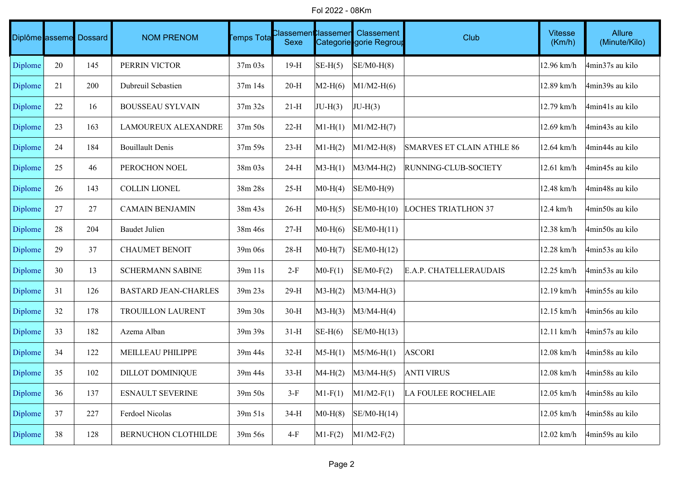Fol 2022 - 08Km

|         |    | Diplôme asseme Dossard | <b>NOM PRENOM</b>           | <b>Femps Tota</b> | Classemen <b>t</b> 0lassemen<br>Sexe |           | Classement<br>Categorie gorie Regroup | Club                             | <b>Vitesse</b><br>(Km/h) | Allure<br>(Minute/Kilo) |
|---------|----|------------------------|-----------------------------|-------------------|--------------------------------------|-----------|---------------------------------------|----------------------------------|--------------------------|-------------------------|
| Diplome | 20 | 145                    | PERRIN VICTOR               | 37m 03s           | $19-H$                               | $SE-H(5)$ | $SE/M0-H(8)$                          |                                  | 12.96 km/h               | 4min37s au kilo         |
| Diplome | 21 | 200                    | Dubreuil Sebastien          | $37m$ 14s         | $20-H$                               | $M2-H(6)$ | $M1/M2-H(6)$                          |                                  | 12.89 km/h               | 4min39s au kilo         |
| Diplome | 22 | 16                     | <b>BOUSSEAU SYLVAIN</b>     | 37m 32s           | $21-H$                               | $JU-H(3)$ | $JU-H(3)$                             |                                  | 12.79 km/h               | 4min41s au kilo         |
| Diplome | 23 | 163                    | <b>LAMOUREUX ALEXANDRE</b>  | 37m 50s           | $22-H$                               | $M1-H(1)$ | $M1/M2-H(7)$                          |                                  | 12.69 km/h               | 4min43s au kilo         |
| Diplome | 24 | 184                    | <b>Bouillault Denis</b>     | 37m 59s           | $23-H$                               | $M1-H(2)$ | $M1/M2-H(8)$                          | <b>SMARVES ET CLAIN ATHLE 86</b> | 12.64 km/h               | 4min44s au kilo         |
| Diplome | 25 | 46                     | PEROCHON NOEL               | $38m\,03s$        | $24-H$                               | $M3-H(1)$ | $M3/M4-H(2)$                          | RUNNING-CLUB-SOCIETY             | 12.61 km/h               | 4min45s au kilo         |
| Diplome | 26 | 143                    | <b>COLLIN LIONEL</b>        | 38m 28s           | $25-H$                               | $MO-H(4)$ | $SE/M0-H(9)$                          |                                  | 12.48 km/h               | 4min48s au kilo         |
| Diplome | 27 | 27                     | <b>CAMAIN BENJAMIN</b>      | 38m 43s           | $26-H$                               | $MO-H(5)$ | $SE/M0-H(10)$                         | <b>LOCHES TRIATLHON 37</b>       | 12.4 km/h                | 4min50s au kilo         |
| Diplome | 28 | 204                    | <b>Baudet Julien</b>        | 38m 46s           | $27-H$                               | $MO-H(6)$ | $SE/M0-H(11)$                         |                                  | 12.38 km/h               | 4min50s au kilo         |
| Diplome | 29 | 37                     | <b>CHAUMET BENOIT</b>       | 39m 06s           | $28-H$                               | $MO-H(7)$ | $SE/M0-H(12)$                         |                                  | 12.28 km/h               | 4min53s au kilo         |
| Diplome | 30 | 13                     | SCHERMANN SABINE            | 39m 11s           | $2-F$                                | $MO-F(1)$ | $SE/M0-F(2)$                          | E.A.P. CHATELLERAUDAIS           | 12.25 km/h               | 4min53s au kilo         |
| Diplome | 31 | 126                    | <b>BASTARD JEAN-CHARLES</b> | 39m 23s           | $29-H$                               | $M3-H(2)$ | $M3/M4-H(3)$                          |                                  | 12.19 km/h               | 4min55s au kilo         |
| Diplome | 32 | 178                    | TROUILLON LAURENT           | 39m 30s           | $30-H$                               | $M3-H(3)$ | $M3/M4-H(4)$                          |                                  | 12.15 km/h               | 4min56s au kilo         |
| Diplome | 33 | 182                    | Azema Alban                 | 39m 39s           | $31-H$                               | $SE-H(6)$ | $SE/M0-H(13)$                         |                                  | 12.11 km/h               | 4min57s au kilo         |
| Diplome | 34 | 122                    | MEILLEAU PHILIPPE           | 39m 44s           | $32-H$                               | $M5-H(1)$ | $M5/M6-H(1)$                          | <b>ASCORI</b>                    | 12.08 km/h               | 4min58s au kilo         |
| Diplome | 35 | 102                    | <b>DILLOT DOMINIQUE</b>     | 39m 44s           | $33-H$                               | $MA-H(2)$ | $M3/M4-H(5)$                          | <b>ANTI VIRUS</b>                | 12.08 km/h               | 4min58s au kilo         |
| Diplome | 36 | 137                    | <b>ESNAULT SEVERINE</b>     | 39m 50s           | $3-F$                                | $M1-F(1)$ | $M1/M2-F(1)$                          | <b>LA FOULEE ROCHELAIE</b>       | 12.05 km/h               | 4min58s au kilo         |
| Diplome | 37 | 227                    | Ferdoel Nicolas             | 39m 51s           | $34-H$                               | $MO-H(8)$ | $SE/M0-H(14)$                         |                                  | 12.05 km/h               | 4min58s au kilo         |
| Diplome | 38 | 128                    | BERNUCHON CLOTHILDE         | 39m 56s           | $4-F$                                | $M1-F(2)$ | $M1/M2-F(2)$                          |                                  | 12.02 km/h               | 4min59s au kilo         |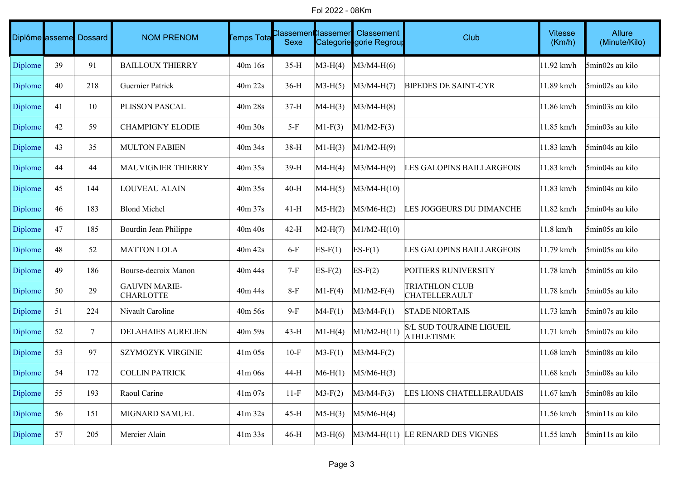Fol 2022 - 08Km

|         |    | Diplôme asseme Dossard | <b>NOM PRENOM</b>                        | <b>Temps Tota</b> | Classemen <b>C</b> lassemen<br>Sexe |                 | Classement<br>Categorie gorie Regroup | <b>Club</b>                                          | <b>Vitesse</b><br>(Km/h) | Allure<br>(Minute/Kilo) |
|---------|----|------------------------|------------------------------------------|-------------------|-------------------------------------|-----------------|---------------------------------------|------------------------------------------------------|--------------------------|-------------------------|
| Diplome | 39 | 91                     | <b>BAILLOUX THIERRY</b>                  | 40m 16s           | $35-H$                              | $M3-H(4)$       | $M3/M4-H(6)$                          |                                                      | 11.92 km/h               | 5min02s au kilo         |
| Diplome | 40 | 218                    | <b>Guernier Patrick</b>                  | 40m 22s           | $36-H$                              | $M3-H(5)$       | $M3/M4-H(7)$                          | <b>BIPEDES DE SAINT-CYR</b>                          | 11.89 km/h               | 5min02s au kilo         |
| Diplome | 41 | 10                     | PLISSON PASCAL                           | 40m 28s           | $37-H$                              | $MA-H(3)$       | $M3/M4-H(8)$                          |                                                      | 11.86 km/h               | 5min03s au kilo         |
| Diplome | 42 | 59                     | <b>CHAMPIGNY ELODIE</b>                  | 40m 30s           | $5-F$                               | $M1-F(3)$       | $M1/M2-F(3)$                          |                                                      | 11.85 km/h               | 5min03s au kilo         |
| Diplome | 43 | 35                     | <b>MULTON FABIEN</b>                     | 40m 34s           | 38-H                                | $\vert$ M1-H(3) | $M1/M2-H(9)$                          |                                                      | 11.83 km/h               | 5min04s au kilo         |
| Diplome | 44 | 44                     | MAUVIGNIER THIERRY                       | 40m 35s           | 39-H                                | $MA-H(4)$       | $M3/M4-H(9)$                          | LES GALOPINS BAILLARGEOIS                            | 11.83 km/h               | 5min04s au kilo         |
| Diplome | 45 | 144                    | LOUVEAU ALAIN                            | 40m 35s           | $40-H$                              | $MA-H(5)$       | $M3/M4-H(10)$                         |                                                      | 11.83 km/h               | 5min04s au kilo         |
| Diplome | 46 | 183                    | <b>Blond Michel</b>                      | 40m 37s           | $41-H$                              | $M5-H(2)$       | $M5/M6-H(2)$                          | LES JOGGEURS DU DIMANCHE                             | 11.82 km/h               | 5min04s au kilo         |
| Diplome | 47 | 185                    | Bourdin Jean Philippe                    | $40m$ $40s$       | $42-H$                              | $M2-H(7)$       | $M1/M2-H(10)$                         |                                                      | $11.8$ km/h              | 5min05s au kilo         |
| Diplome | 48 | 52                     | <b>MATTON LOLA</b>                       | $40m$ 42s         | $6-F$                               | $ES-F(1)$       | $ES-F(1)$                             | LES GALOPINS BAILLARGEOIS                            | 11.79 km/h               | 5min05s au kilo         |
| Diplome | 49 | 186                    | Bourse-decroix Manon                     | 40m 44s           | $7-F$                               | $ES-F(2)$       | $ES-F(2)$                             | POITIERS RUNIVERSITY                                 | 11.78 km/h               | 5min05s au kilo         |
| Diplome | 50 | 29                     | <b>GAUVIN MARIE-</b><br><b>CHARLOTTE</b> | 40m 44s           | $8-F$                               | $M1-F(4)$       | $M1/M2-F(4)$                          | <b>TRIATHLON CLUB</b><br>CHATELLERAULT               | 11.78 km/h               | 5min05s au kilo         |
| Diplome | 51 | 224                    | Nivault Caroline                         | 40m 56s           | $9-F$                               | $M4-F(1)$       | $M3/M4-F(1)$                          | <b>STADE NIORTAIS</b>                                | 11.73 km/h               | 5min07s au kilo         |
| Diplome | 52 | 7                      | <b>DELAHAIES AURELIEN</b>                | $40m\,59s$        | $43-H$                              | $M1-H(4)$       | $M1/M2-H(11)$                         | <b>S/L SUD TOURAINE LIGUEIL</b><br><b>ATHLETISME</b> | 11.71 km/h               | 5min07s au kilo         |
| Diplome | 53 | 97                     | <b>SZYMOZYK VIRGINIE</b>                 | $41m$ 05s         | $10-F$                              | $M3-F(1)$       | $M3/M4-F(2)$                          |                                                      | 11.68 km/h               | 5min08s au kilo         |
| Diplome | 54 | 172                    | <b>COLLIN PATRICK</b>                    | 41m06s            | 44-H                                | $M6-H(1)$       | $M5/M6-H(3)$                          |                                                      | 11.68 km/h               | 5min08s au kilo         |
| Diplome | 55 | 193                    | Raoul Carine                             | $41m\,07s$        | $11-F$                              | $M3-F(2)$       | $M3/M4-F(3)$                          | LES LIONS CHATELLERAUDAIS                            | 11.67 km/h               | 5min08s au kilo         |
| Diplome | 56 | 151                    | MIGNARD SAMUEL                           | $41m$ 32s         | $45-H$                              | $M5-H(3)$       | $M5/M6-H(4)$                          |                                                      | 11.56 km/h               | 5min11s au kilo         |
| Diplome | 57 | 205                    | Mercier Alain                            | $41m$ 33s         | $46-H$                              | $M3-H(6)$       |                                       | $M3/M4-H(11)$ LE RENARD DES VIGNES                   | 11.55 km/h               | 5min11s au kilo         |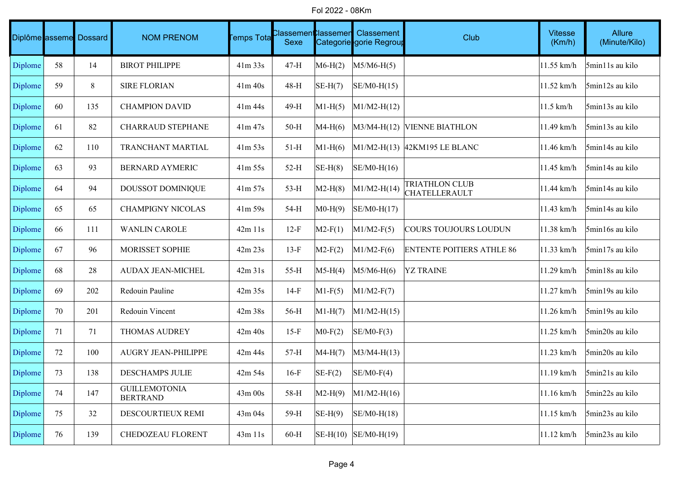Fol 2022 - 08Km

|         |    | Diplôme asseme Dossard | <b>NOM PRENOM</b>                       | <b>Femps Tota</b> | :lassemen <b>t</b> :lassemen<br>Sexe |           | Classement<br>Categorie gorie Regroup | Club                                   | <b>Vitesse</b><br>(Km/h) | Allure<br>(Minute/Kilo) |
|---------|----|------------------------|-----------------------------------------|-------------------|--------------------------------------|-----------|---------------------------------------|----------------------------------------|--------------------------|-------------------------|
| Diplome | 58 | 14                     | <b>BIROT PHILIPPE</b>                   | $41m$ 33s         | $47-H$                               | $M6-H(2)$ | $M5/M6-H(5)$                          |                                        | 11.55 km/h               | 5min11s au kilo         |
| Diplome | 59 | 8                      | <b>SIRE FLORIAN</b>                     | 41m 40s           | 48-H                                 | $SE-H(7)$ | $SE/M0-H(15)$                         |                                        | 11.52 km/h               | 5min12s au kilo         |
| Diplome | 60 | 135                    | <b>CHAMPION DAVID</b>                   | 41m 44s           | 49-H                                 | $M1-H(5)$ | $M1/M2-H(12)$                         |                                        | 11.5 km/h                | 5min13s au kilo         |
| Diplome | 61 | 82                     | <b>CHARRAUD STEPHANE</b>                | 41m 47s           | $50-H$                               | $MA-H(6)$ |                                       | M3/M4-H(12) VIENNE BIATHLON            | 11.49 km/h               | 5min13s au kilo         |
| Diplome | 62 | 110                    | TRANCHANT MARTIAL                       | $41m\,53s$        | $51-H$                               | $M1-H(6)$ |                                       | M1/M2-H(13) 42KM195 LE BLANC           | 11.46 km/h               | 5min14s au kilo         |
| Diplome | 63 | 93                     | <b>BERNARD AYMERIC</b>                  | $41m\,55s$        | $52-H$                               | $SE-H(8)$ | $SE/M0-H(16)$                         |                                        | 11.45 km/h               | 5min14s au kilo         |
| Diplome | 64 | 94                     | DOUSSOT DOMINIQUE                       | $41m\,57s$        | $53-H$                               | $M2-H(8)$ | $M1/M2-H(14)$                         | <b>TRIATHLON CLUB</b><br>CHATELLERAULT | 11.44 km/h               | 5min14s au kilo         |
| Diplome | 65 | 65                     | <b>CHAMPIGNY NICOLAS</b>                | 41m 59s           | 54-H                                 | $MO-H(9)$ | SE/M0-H(17)                           |                                        | 11.43 km/h               | 5min14s au kilo         |
| Diplome | 66 | 111                    | <b>WANLIN CAROLE</b>                    | $42m$ 11s         | $12-F$                               | $M2-F(1)$ | $M1/M2-F(5)$                          | COURS TOUJOURS LOUDUN                  | 11.38 km/h               | 5min16s au kilo         |
| Diplome | 67 | 96                     | MORISSET SOPHIE                         | 42m 23s           | $13-F$                               | $M2-F(2)$ | $M1/M2-F(6)$                          | <b>ENTENTE POITIERS ATHLE 86</b>       | 11.33 km/h               | 5min17s au kilo         |
| Diplome | 68 | 28                     | AUDAX JEAN-MICHEL                       | 42m31s            | 55-H                                 | $M5-H(4)$ | $M5/M6-H(6)$                          | <b>YZ TRAINE</b>                       | 11.29 km/h               | 5min18s au kilo         |
| Diplome | 69 | 202                    | Redouin Pauline                         | 42m 35s           | $14-F$                               | $M1-F(5)$ | $M1/M2-F(7)$                          |                                        | 11.27 km/h               | 5min19s au kilo         |
| Diplome | 70 | 201                    | Redouin Vincent                         | 42m 38s           | 56-H                                 | $M1-H(7)$ | $M1/M2-H(15)$                         |                                        | 11.26 km/h               | 5min19s au kilo         |
| Diplome | 71 | 71                     | <b>THOMAS AUDREY</b>                    | $42m$ $40s$       | $15-F$                               | $MO-F(2)$ | $SE/M0-F(3)$                          |                                        | 11.25 km/h               | 5min20s au kilo         |
| Diplome | 72 | 100                    | AUGRY JEAN-PHILIPPE                     | 42m 44s           | $57-H$                               | $MA-H(7)$ | $M3/M4-H(13)$                         |                                        | 11.23 km/h               | 5min20s au kilo         |
| Diplome | 73 | 138                    | DESCHAMPS JULIE                         | 42m 54s           | $16-F$                               | $SE-F(2)$ | $SE/M0-F(4)$                          |                                        | 11.19 km/h               | 5min21s au kilo         |
| Diplome | 74 | 147                    | <b>GUILLEMOTONIA</b><br><b>BERTRAND</b> | 43m 00s           | 58-H                                 | $M2-H(9)$ | $M1/M2-H(16)$                         |                                        | 11.16 km/h               | 5min22s au kilo         |
| Diplome | 75 | 32                     | DESCOURTIEUX REMI                       | 43m 04s           | 59-H                                 | $SE-H(9)$ | $SE/M0-H(18)$                         |                                        | 11.15 km/h               | 5min23s au kilo         |
| Diplome | 76 | 139                    | CHEDOZEAU FLORENT                       | 43m 11s           | $60-H$                               |           | $\vert$ SE-H(10) $\vert$ SE/M0-H(19)  |                                        | $11.12$ km/h             | 5min23s au kilo         |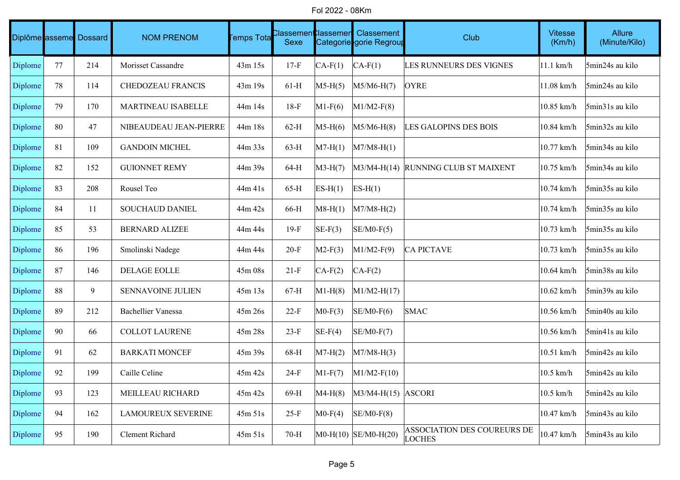Fol 2022 - 08Km

|         |    | Diplôme asseme Dossard | <b>NOM PRENOM</b>         | <b>Temps Tota</b> | :lassemen <b>t</b> :lassemen<br>Sexe |           | Classement<br>Categorie gorie Regroup | Club                                         | <b>Vitesse</b><br>(Km/h) | Allure<br>(Minute/Kilo) |
|---------|----|------------------------|---------------------------|-------------------|--------------------------------------|-----------|---------------------------------------|----------------------------------------------|--------------------------|-------------------------|
| Diplome | 77 | 214                    | Morisset Cassandre        | 43m 15s           | $17-F$                               | $CA-F(1)$ | $CA-F(1)$                             | LES RUNNEURS DES VIGNES                      | $ 11.1 \text{ km/h} $    | 5min24s au kilo         |
| Diplome | 78 | 114                    | <b>CHEDOZEAU FRANCIS</b>  | 43m 19s           | $61-H$                               | $M5-H(5)$ | $M5/M6-H(7)$                          | <b>OYRE</b>                                  | 11.08 km/h               | 5min24s au kilo         |
| Diplome | 79 | 170                    | MARTINEAU ISABELLE        | 44m 14s           | $18-F$                               | $M1-F(6)$ | $M1/M2-F(8)$                          |                                              | 10.85 km/h               | 5min31s au kilo         |
| Diplome | 80 | 47                     | NIBEAUDEAU JEAN-PIERRE    | 44m 18s           | $62-H$                               | $M5-H(6)$ | $M5/M6-H(8)$                          | <b>LES GALOPINS DES BOIS</b>                 | 10.84 km/h               | 5min32s au kilo         |
| Diplome | 81 | 109                    | <b>GANDOIN MICHEL</b>     | 44m 33s           | $63-H$                               | $M7-H(1)$ | $M7/M8-H(1)$                          |                                              | 10.77 km/h               | 5min34s au kilo         |
| Diplome | 82 | 152                    | <b>GUIONNET REMY</b>      | 44m 39s           | 64-H                                 | $M3-H(7)$ |                                       | M3/M4-H(14) RUNNING CLUB ST MAIXENT          | 10.75 km/h               | 5min34s au kilo         |
| Diplome | 83 | 208                    | Rousel Teo                | 44m 41s           | $65-H$                               | $ES-H(1)$ | $ES-H(1)$                             |                                              | 10.74 km/h               | 5min35s au kilo         |
| Diplome | 84 | 11                     | <b>SOUCHAUD DANIEL</b>    | 44m 42s           | 66-H                                 | $M8-H(1)$ | $M7/M8-H(2)$                          |                                              | 10.74 km/h               | 5min35s au kilo         |
| Diplome | 85 | 53                     | <b>BERNARD ALIZEE</b>     | 44m 44s           | $19-F$                               | $SE-F(3)$ | $SE/M0-F(5)$                          |                                              | 10.73 km/h               | 5min35s au kilo         |
| Diplome | 86 | 196                    | Smolinski Nadege          | 44m 44s           | $20-F$                               | $M2-F(3)$ | $M1/M2-F(9)$                          | <b>CA PICTAVE</b>                            | 10.73 km/h               | 5min35s au kilo         |
| Diplome | 87 | 146                    | DELAGE EOLLE              | 45m 08s           | $21-F$                               | $CA-F(2)$ | $CA-F(2)$                             |                                              | 10.64 km/h               | 5min38s au kilo         |
| Diplome | 88 | 9                      | SENNAVOINE JULIEN         | 45m 13s           | $67-H$                               | $M1-H(8)$ | $M1/M2-H(17)$                         |                                              | 10.62 km/h               | 5min39s au kilo         |
| Diplome | 89 | 212                    | <b>Bachellier Vanessa</b> | 45m 26s           | $22-F$                               | $MO-F(3)$ | $SE/M0-F(6)$                          | <b>SMAC</b>                                  | 10.56 km/h               | 5min40s au kilo         |
| Diplome | 90 | 66                     | COLLOT LAURENE            | 45m 28s           | $23-F$                               | $SE-F(4)$ | $SE/M0-F(7)$                          |                                              | 10.56 km/h               | 5min41s au kilo         |
| Diplome | 91 | 62                     | <b>BARKATI MONCEF</b>     | 45m 39s           | 68-H                                 | $M7-H(2)$ | $M7/M8-H(3)$                          |                                              | 10.51 km/h               | 5min42s au kilo         |
| Diplome | 92 | 199                    | Caille Celine             | 45m 42s           | $24-F$                               | $M1-F(7)$ | $M1/M2-F(10)$                         |                                              | 10.5 km/h                | 5min42s au kilo         |
| Diplome | 93 | 123                    | MEILLEAU RICHARD          | 45m 42s           | 69-H                                 | $MA-H(8)$ | $M3/M4-H(15)$ ASCORI                  |                                              | $10.5$ km/h              | 5min42s au kilo         |
| Diplome | 94 | 162                    | <b>LAMOUREUX SEVERINE</b> | 45m 51s           | $25-F$                               | $MO-F(4)$ | $SE/M0-F(8)$                          |                                              | 10.47 km/h               | 5min43s au kilo         |
| Diplome | 95 | 190                    | Clement Richard           | 45m 51s           | 70-H                                 |           | $MO-H(10)$ SE/M0-H(20)                | ASSOCIATION DES COUREURS DE<br><b>LOCHES</b> | 10.47 km/h               | 5min43s au kilo         |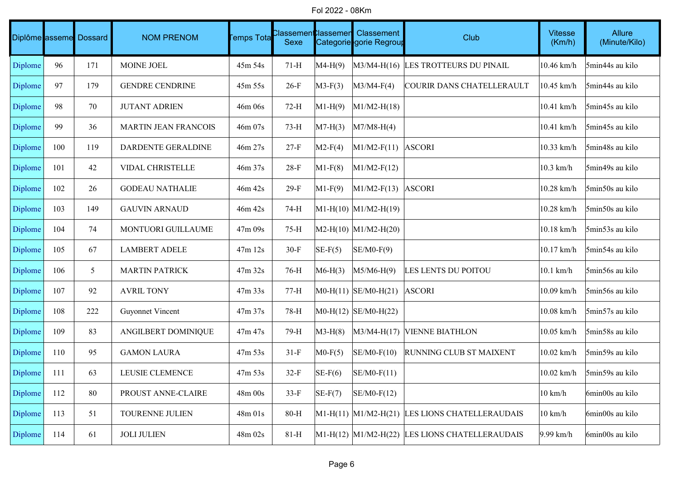Fol 2022 - 08Km

|         |     | Diplôme asseme Dossard | <b>NOM PRENOM</b>           | <b>Temps Tota</b> | :lassemen <b>t</b> :lassemen<br>Sexe |           | Classement<br>Categorie gorie Regroup | Club                                               | <b>Vitesse</b><br>(Km/h) | Allure<br>(Minute/Kilo) |
|---------|-----|------------------------|-----------------------------|-------------------|--------------------------------------|-----------|---------------------------------------|----------------------------------------------------|--------------------------|-------------------------|
| Diplome | 96  | 171                    | MOINE JOEL                  | 45m 54s           | $71-H$                               | $MA-H(9)$ |                                       | M3/M4-H(16) LES TROTTEURS DU PINAIL                | 10.46 km/h               | 5min44s au kilo         |
| Diplome | 97  | 179                    | <b>GENDRE CENDRINE</b>      | 45m 55s           | $26-F$                               | $M3-F(3)$ | $M3/M4-F(4)$                          | COURIR DANS CHATELLERAULT                          | $10.45$ km/h             | 5min44s au kilo         |
| Diplome | 98  | 70                     | <b>JUTANT ADRIEN</b>        | 46m 06s           | $72-H$                               | $M1-H(9)$ | $M1/M2-H(18)$                         |                                                    | 10.41 km/h               | 5min45s au kilo         |
| Diplome | 99  | 36                     | <b>MARTIN JEAN FRANCOIS</b> | 46m 07s           | $73-H$                               | $M7-H(3)$ | $M7/M8-H(4)$                          |                                                    | 10.41 km/h               | 5min45s au kilo         |
| Diplome | 100 | 119                    | DARDENTE GERALDINE          | 46m 27s           | $27-F$                               | $M2-F(4)$ | $M1/M2-F(11)$ ASCORI                  |                                                    | 10.33 km/h               | 5min48s au kilo         |
| Diplome | 101 | 42                     | <b>VIDAL CHRISTELLE</b>     | 46m 37s           | $28-F$                               | $M1-F(8)$ | $M1/M2-F(12)$                         |                                                    | $10.3$ km/h              | 5min49s au kilo         |
| Diplome | 102 | 26                     | <b>GODEAU NATHALIE</b>      | 46m 42s           | $29-F$                               | $M1-F(9)$ | $M1/M2-F(13)$ ASCORI                  |                                                    | 10.28 km/h               | 5min50s au kilo         |
| Diplome | 103 | 149                    | <b>GAUVIN ARNAUD</b>        | 46m 42s           | 74-H                                 |           | $ML-H(10)$ $ML/M2-H(19)$              |                                                    | 10.28 km/h               | 5min50s au kilo         |
| Diplome | 104 | 74                     | MONTUORI GUILLAUME          | 47m 09s           | $75-H$                               |           | $MA2-H(10)$ $M1/M2-H(20)$             |                                                    | 10.18 km/h               | 5min53s au kilo         |
| Diplome | 105 | 67                     | <b>LAMBERT ADELE</b>        | 47m 12s           | $30-F$                               | $SE-F(5)$ | $SE/M0-F(9)$                          |                                                    | 10.17 km/h               | 5min54s au kilo         |
| Diplome | 106 | 5                      | <b>MARTIN PATRICK</b>       | 47m 32s           | 76-H                                 | $M6-H(3)$ | $M5/M6-H(9)$                          | LES LENTS DU POITOU                                | $ 10.1 \text{ km/h} $    | 5min56s au kilo         |
| Diplome | 107 | 92                     | <b>AVRIL TONY</b>           | 47m 33s           | $77-H$                               |           | $MO-H(11)$ SE/M0-H(21)                | <b>ASCORI</b>                                      | 10.09 km/h               | 5min56s au kilo         |
| Diplome | 108 | 222                    | <b>Guyonnet Vincent</b>     | 47m 37s           | 78-H                                 |           | $MO-H(12)$ SE/M0-H(22)                |                                                    | 10.08 km/h               | 5min57s au kilo         |
| Diplome | 109 | 83                     | ANGILBERT DOMINIQUE         | 47m 47s           | 79-H                                 | $M3-H(8)$ | $M3/M4-H(17)$                         | <b>VIENNE BIATHLON</b>                             | 10.05 km/h               | 5min58s au kilo         |
| Diplome | 110 | 95                     | <b>GAMON LAURA</b>          | $47m\,53s$        | $31-F$                               | $MO-F(5)$ | $SE/M0-F(10)$                         | <b>RUNNING CLUB ST MAIXENT</b>                     | $ 10.02 \text{ km/h} $   | 5min59s au kilo         |
| Diplome | 111 | 63                     | LEUSIE CLEMENCE             | 47m 53s           | $32-F$                               | $SE-F(6)$ | $SE/M0-F(11)$                         |                                                    | 10.02 km/h               | 5min59s au kilo         |
| Diplome | 112 | 80                     | PROUST ANNE-CLAIRE          | 48m 00s           | $33-F$                               | $SE-F(7)$ | $SE/M0-F(12)$                         |                                                    | $10 \text{ km/h}$        | 6min00s au kilo         |
| Diplome | 113 | 51                     | TOURENNE JULIEN             | 48m 01s           | $80-H$                               |           |                                       | $ML-H(11)$ $ML/M2-H(21)$ LES LIONS CHATELLERAUDAIS | $10 \text{ km/h}$        | 6min00s au kilo         |
| Diplome | 114 | 61                     | <b>JOLI JULIEN</b>          | 48m 02s           | $81-H$                               |           | $M1-H(12)$ $M1/M2-H(22)$              | LES LIONS CHATELLERAUDAIS                          | $9.99$ km/h              | 6min00s au kilo         |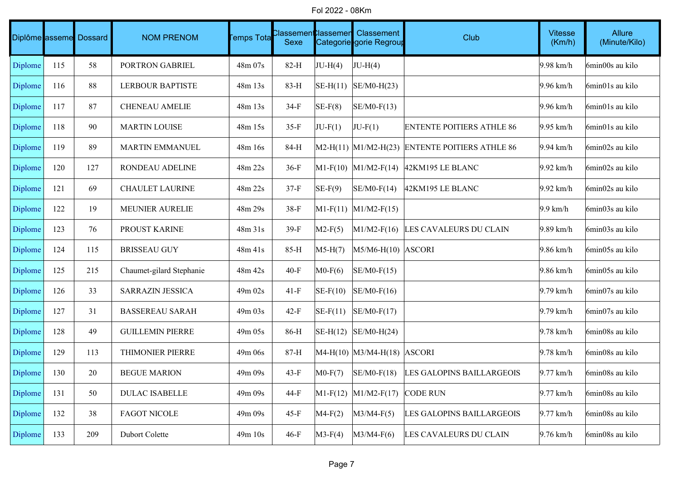Fol 2022 - 08Km

|         |     | Diplôme asseme Dossard | <b>NOM PRENOM</b>        | <b>Temps Tota</b> | :lassemen <b>t</b> :lassemen<br>Sexe |            | Classement<br>Categorie gorie Regroup | Club                                               | <b>Vitesse</b><br>(Km/h) | Allure<br>(Minute/Kilo) |
|---------|-----|------------------------|--------------------------|-------------------|--------------------------------------|------------|---------------------------------------|----------------------------------------------------|--------------------------|-------------------------|
| Diplome | 115 | 58                     | PORTRON GABRIEL          | 48m 07s           | $82-H$                               | $JU-H(4)$  | $JU-H(4)$                             |                                                    | $9.98$ km/h              | 6min00s au kilo         |
| Diplome | 116 | 88                     | <b>LERBOUR BAPTISTE</b>  | 48m 13s           | 83-H                                 | $SE-H(11)$ | $SE/M0-H(23)$                         |                                                    | $9.96$ km/h              | 6min01s au kilo         |
| Diplome | 117 | 87                     | <b>CHENEAU AMELIE</b>    | 48m 13s           | 34-F                                 | $SE-F(8)$  | $SE/M0-F(13)$                         |                                                    | $9.96$ km/h              | 6min01s au kilo         |
| Diplome | 118 | 90                     | <b>MARTIN LOUISE</b>     | 48m 15s           | $35-F$                               | $JU-F(1)$  | $JU-F(1)$                             | <b>ENTENTE POITIERS ATHLE 86</b>                   | $9.95$ km/h              | 6min01s au kilo         |
| Diplome | 119 | 89                     | MARTIN EMMANUEL          | 48m 16s           | 84-H                                 |            |                                       | $M2-H(11)$ $M1/M2-H(23)$ ENTENTE POITIERS ATHLE 86 | $9.94$ km/h              | 6min02s au kilo         |
| Diplome | 120 | 127                    | RONDEAU ADELINE          | 48m 22s           | $36-F$                               |            | $M1-F(10)$ $M1/M2-F(14)$              | 42KM195 LE BLANC                                   | $9.92$ km/h              | 6min02s au kilo         |
| Diplome | 121 | 69                     | CHAULET LAURINE          | 48m 22s           | $37-F$                               | $SE-F(9)$  | $SE/M0-F(14)$                         | $ 42KM195$ LE BLANC                                | $9.92$ km/h              | 6min02s au kilo         |
| Diplome | 122 | 19                     | <b>MEUNIER AURELIE</b>   | 48m 29s           | $38-F$                               |            | $ M1-F(11)  M1/M2-F(15) $             |                                                    | $9.9$ km/h               | 6min03s au kilo         |
| Diplome | 123 | 76                     | PROUST KARINE            | 48m 31s           | $39-F$                               | $M2-F(5)$  |                                       | M1/M2-F(16) LES CAVALEURS DU CLAIN                 | $9.89$ km/h              | 6min03s au kilo         |
| Diplome | 124 | 115                    | <b>BRISSEAU GUY</b>      | 48m 41s           | 85-H                                 | $M5-H(7)$  | $M5/M6-H(10)$ ASCORI                  |                                                    | $9.86$ km/h              | 6min05s au kilo         |
| Diplome | 125 | 215                    | Chaumet-gilard Stephanie | 48m 42s           | $40-F$                               | $MO-F(6)$  | $SE/M0-F(15)$                         |                                                    | $9.86$ km/h              | 6min05s au kilo         |
| Diplome | 126 | 33                     | <b>SARRAZIN JESSICA</b>  | 49m 02s           | $41-F$                               | $SE-F(10)$ | $SE/M0-F(16)$                         |                                                    | $9.79$ km/h              | 6min07s au kilo         |
| Diplome | 127 | 31                     | <b>BASSEREAU SARAH</b>   | 49m 03s           | $42-F$                               | $SE-F(11)$ | $SE/M0-F(17)$                         |                                                    | $9.79$ km/h              | 6min07s au kilo         |
| Diplome | 128 | 49                     | <b>GUILLEMIN PIERRE</b>  | 49m 05s           | 86-H                                 | $SE-H(12)$ | $SE/M0-H(24)$                         |                                                    | $9.78$ km/h              | 6min08s au kilo         |
| Diplome | 129 | 113                    | THIMONIER PIERRE         | 49m06s            | 87-H                                 |            | $MA-H(10)$ $M3/M4-H(18)$ ASCORI       |                                                    | $9.78$ km/h              | 6min08s au kilo         |
| Diplome | 130 | 20                     | <b>BEGUE MARION</b>      | 49m 09s           | $43-F$                               | $MO-F(7)$  | $SE/M0-F(18)$                         | LES GALOPINS BAILLARGEOIS                          | $9.77$ km/h              | 6min08s au kilo         |
| Diplome | 131 | 50                     | <b>DULAC ISABELLE</b>    | 49m 09s           | 44-F                                 |            | $ M1-F(12)$ $ M1/M2-F(17)$            | <b>CODE RUN</b>                                    | $9.77$ km/h              | 6min08s au kilo         |
| Diplome | 132 | 38                     | <b>FAGOT NICOLE</b>      | 49m 09s           | $45-F$                               | $M4-F(2)$  | $M3/M4-F(5)$                          | LES GALOPINS BAILLARGEOIS                          | $9.77$ km/h              | 6min08s au kilo         |
| Diplome | 133 | 209                    | Dubort Colette           | 49m 10s           | $46-F$                               | $M3-F(4)$  | $M3/M4-F(6)$                          | LES CAVALEURS DU CLAIN                             | $9.76$ km/h              | 6min08s au kilo         |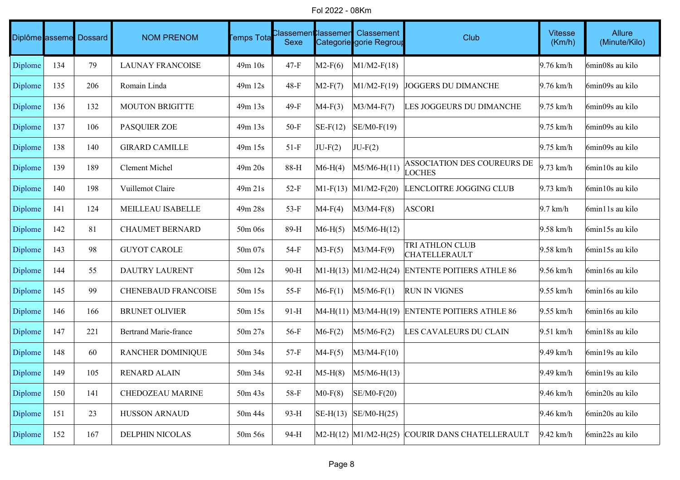Fol 2022 - 08Km

|         |     | Diplôme asseme Dossard | <b>NOM PRENOM</b>            | Temps Tota  | Classement<br>Sexe | <b>Classemen</b> | Classement<br>Categorie gorie Regrour | Club                                               | <b>Vitesse</b><br>(Km/h) | Allure<br>(Minute/Kilo) |
|---------|-----|------------------------|------------------------------|-------------|--------------------|------------------|---------------------------------------|----------------------------------------------------|--------------------------|-------------------------|
| Diplome | 134 | 79                     | <b>LAUNAY FRANCOISE</b>      | 49m 10s     | $47-F$             | $M2-F(6)$        | $M1/M2-F(18)$                         |                                                    | $9.76$ km/h              | 6min08s au kilo         |
| Diplome | 135 | 206                    | Romain Linda                 | 49m 12s     | $48-F$             | $M2-F(7)$        | $M1/M2-F(19)$                         | <b>JOGGERS DU DIMANCHE</b>                         | $9.76$ km/h              | 6min09s au kilo         |
| Diplome | 136 | 132                    | <b>MOUTON BRIGITTE</b>       | 49m 13s     | $49-F$             | $MA-F(3)$        | $M3/M4-F(7)$                          | LES JOGGEURS DU DIMANCHE                           | $9.75$ km/h              | 6min09s au kilo         |
| Diplome | 137 | 106                    | <b>PASQUIER ZOE</b>          | 49m 13s     | $50-F$             | $SE-F(12)$       | $SE/M0-F(19)$                         |                                                    | $9.75$ km/h              | 6min09s au kilo         |
| Diplome | 138 | 140                    | <b>GIRARD CAMILLE</b>        | 49m 15s     | $51-F$             | $JU-F(2)$        | $JU-F(2)$                             |                                                    | $9.75$ km/h              | 6min09s au kilo         |
| Diplome | 139 | 189                    | <b>Clement Michel</b>        | $49m$ $20s$ | 88-H               | $M6-H(4)$        | M5/M6-H(11)                           | ASSOCIATION DES COUREURS DE<br><b>LOCHES</b>       | $9.73$ km/h              | 6min10s au kilo         |
| Diplome | 140 | 198                    | Vuillemot Claire             | 49m 21s     | $52-F$             |                  | $M1-F(13)$ $M1/M2-F(20)$              | LENCLOITRE JOGGING CLUB                            | $9.73$ km/h              | 6min10s au kilo         |
| Diplome | 141 | 124                    | MEILLEAU ISABELLE            | 49m 28s     | $53-F$             | $MA-F(4)$        | $M3/M4-F(8)$                          | <b>ASCORI</b>                                      | $9.7$ km/h               | 6min11s au kilo         |
| Diplome | 142 | 81                     | <b>CHAUMET BERNARD</b>       | 50m 06s     | 89-H               | $M6-H(5)$        | M5/M6-H(12)                           |                                                    | $9.58$ km/h              | 6min15s au kilo         |
| Diplome | 143 | 98                     | <b>GUYOT CAROLE</b>          | 50m 07s     | 54-F               | $M3-F(5)$        | $M3/M4-F(9)$                          | TRI ATHLON CLUB<br><b>CHATELLERAULT</b>            | $9.58$ km/h              | 6min15s au kilo         |
| Diplome | 144 | 55                     | <b>DAUTRY LAURENT</b>        | 50m 12s     | 90-H               |                  | $ M1-H(13) M1/M2-H(24) $              | <b>ENTENTE POITIERS ATHLE 86</b>                   | $9.56$ km/h              | 6min16s au kilo         |
| Diplome | 145 | 99                     | <b>CHENEBAUD FRANCOISE</b>   | 50m 15s     | $55-F$             | $M6-F(1)$        | $M5/M6-F(1)$                          | <b>RUN IN VIGNES</b>                               | $9.55$ km/h              | 6min16s au kilo         |
| Diplome | 146 | 166                    | <b>BRUNET OLIVIER</b>        | 50m 15s     | $91-H$             |                  |                                       | $MA-H(11)$ $M3/M4-H(19)$ ENTENTE POITIERS ATHLE 86 | $9.55$ km/h              | 6min16s au kilo         |
| Diplome | 147 | 221                    | <b>Bertrand Marie-france</b> | 50m 27s     | $56-F$             | $M6-F(2)$        | $M5/M6-F(2)$                          | LES CAVALEURS DU CLAIN                             | $9.51$ km/h              | 6min18s au kilo         |
| Diplome | 148 | 60                     | <b>RANCHER DOMINIQUE</b>     | 50m 34s     | $57-F$             | $MA-F(5)$        | $M3/M4-F(10)$                         |                                                    | 9.49 km/h                | 6min19s au kilo         |
| Diplome | 149 | 105                    | <b>RENARD ALAIN</b>          | 50m 34s     | 92-H               | $M5-H(8)$        | $M5/M6-H(13)$                         |                                                    | $9.49$ km/h              | 6min19s au kilo         |
| Diplome | 150 | 141                    | CHEDOZEAU MARINE             | 50m 43s     | 58-F               | $MO-F(8)$        | $SE/M0-F(20)$                         |                                                    | $9.46$ km/h              | 6min20s au kilo         |
| Diplome | 151 | 23                     | <b>HUSSON ARNAUD</b>         | 50m 44s     | 93-H               |                  | $\vert$ SE-H(13) $\vert$ SE/M0-H(25)  |                                                    | $9.46$ km/h              | 6min20s au kilo         |
| Diplome | 152 | 167                    | <b>DELPHIN NICOLAS</b>       | 50m 56s     | 94-H               |                  |                                       | M2-H(12) M1/M2-H(25) COURIR DANS CHATELLERAULT     | $9.42$ km/h              | 6min22s au kilo         |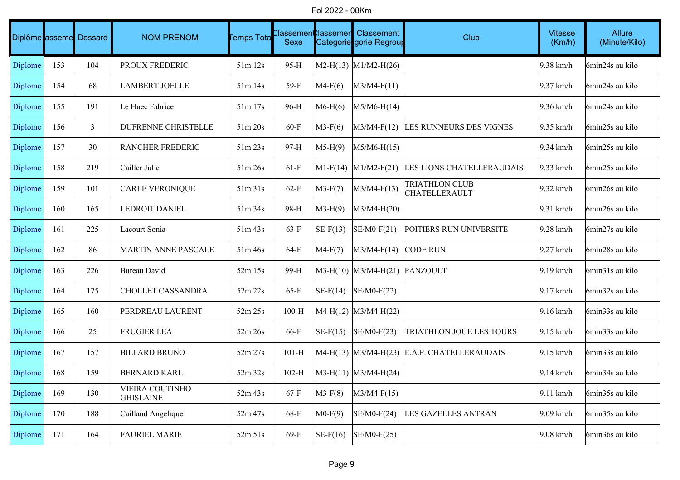Fol 2022 - 08Km

|         |     | Diplôme asseme Dossard | <b>NOM PRENOM</b>                   | <b>Temps Tota</b> | <b>Classement</b> lassemen<br>Sexe |            | Classement<br>Categorie gorie Regroup | Club                                            | <b>Vitesse</b><br>(Km/h) | Allure<br>(Minute/Kilo) |
|---------|-----|------------------------|-------------------------------------|-------------------|------------------------------------|------------|---------------------------------------|-------------------------------------------------|--------------------------|-------------------------|
| Diplome | 153 | 104                    | PROUX FREDERIC                      | 51m 12s           | 95-H                               |            | $MA2-H(13)$ $M1/M2-H(26)$             |                                                 | $9.38$ km/h              | 6min24s au kilo         |
| Diplome | 154 | 68                     | <b>LAMBERT JOELLE</b>               | $51m$ 14s         | 59-F                               | $MA-F(6)$  | $M3/M4-F(11)$                         |                                                 | $9.37$ km/h              | 6min24s au kilo         |
| Diplome | 155 | 191                    | Le Huec Fabrice                     | 51m 17s           | 96-H                               | $M6-H(6)$  | $M5/M6-H(14)$                         |                                                 | $9.36$ km/h              | 6min24s au kilo         |
| Diplome | 156 | 3                      | DUFRENNE CHRISTELLE                 | 51m 20s           | $60-F$                             | $M3-F(6)$  | $M3/M4-F(12)$                         | LES RUNNEURS DES VIGNES                         | $9.35$ km/h              | 6min25s au kilo         |
| Diplome | 157 | 30                     | RANCHER FREDERIC                    | 51m 23s           | 97-H                               | $M5-H(9)$  | $M5/M6-H(15)$                         |                                                 | $9.34$ km/h              | 6min25s au kilo         |
| Diplome | 158 | 219                    | Cailler Julie                       | 51m 26s           | $61-F$                             |            | $\text{M1-F}(14)$ M1/M2-F(21)         | LES LIONS CHATELLERAUDAIS                       | $9.33$ km/h              | 6min25s au kilo         |
| Diplome | 159 | 101                    | <b>CARLE VERONIQUE</b>              | 51m31s            | $62-F$                             | $M3-F(7)$  | $M3/M4-F(13)$                         | <b>TRIATHLON CLUB</b><br><b>CHATELLERAULT</b>   | $9.32$ km/h              | 6min26s au kilo         |
| Diplome | 160 | 165                    | <b>LEDROIT DANIEL</b>               | 51m 34s           | 98-H                               | $M3-H(9)$  | $M3/M4-H(20)$                         |                                                 | $9.31$ km/h              | 6min26s au kilo         |
| Diplome | 161 | 225                    | Lacourt Sonia                       | $51m$ 43s         | $63-F$                             | $SE-F(13)$ | $SE/M0-F(21)$                         | POITIERS RUN UNIVERSITE                         | $9.28$ km/h              | 6min27s au kilo         |
| Diplome | 162 | 86                     | MARTIN ANNE PASCALE                 | 51m 46s           | $64-F$                             | $MA-F(7)$  | $M3/M4-F(14)$                         | <b>CODE RUN</b>                                 | $9.27$ km/h              | 6min28s au kilo         |
| Diplome | 163 | 226                    | <b>Bureau David</b>                 | 52m 15s           | 99-H                               |            | $M3-H(10)$ $M3/M4-H(21)$ PANZOULT     |                                                 | $9.19$ km/h              | 6min31s au kilo         |
| Diplome | 164 | 175                    | CHOLLET CASSANDRA                   | 52m 22s           | $65-F$                             | $SE-F(14)$ | $SE/M0-F(22)$                         |                                                 | $9.17$ km/h              | 6min32s au kilo         |
| Diplome | 165 | 160                    | PERDREAU LAURENT                    | 52m 25s           | $100-H$                            |            | $MA-H(12)$ $M3/M4-H(22)$              |                                                 | $9.16$ km/h              | 6min33s au kilo         |
| Diplome | 166 | 25                     | <b>FRUGIER LEA</b>                  | 52m 26s           | 66-F                               | $SE-F(15)$ | $SE/M0-F(23)$                         | TRIATHLON JOUE LES TOURS                        | $9.15$ km/h              | 6min33s au kilo         |
| Diplome | 167 | 157                    | <b>BILLARD BRUNO</b>                | 52m 27s           | $101-H$                            |            |                                       | $MA-H(13)$ $M3/M4-H(23)$ E.A.P. CHATELLERAUDAIS | $9.15$ km/h              | 6min33s au kilo         |
| Diplome | 168 | 159                    | <b>BERNARD KARL</b>                 | 52m 32s           | $102-H$                            |            | $ M3-H(11) M3/M4-H(24) $              |                                                 | $9.14$ km/h              | 6min34s au kilo         |
| Diplome | 169 | 130                    | VIEIRA COUTINHO<br><b>GHISLAINE</b> | 52m 43s           | $67-F$                             | $M3-F(8)$  | $M3/M4-F(15)$                         |                                                 | $9.11$ km/h              | 6min35s au kilo         |
| Diplome | 170 | 188                    | Caillaud Angelique                  | 52m 47s           | 68-F                               | $MO-F(9)$  | $SE/M0-F(24)$                         | <b>LES GAZELLES ANTRAN</b>                      | $9.09$ km/h              | 6min35s au kilo         |
| Diplome | 171 | 164                    | <b>FAURIEL MARIE</b>                | 52m 51s           | $69-F$                             | $SE-F(16)$ | $SE/M0-F(25)$                         |                                                 | $9.08$ km/h              | 6min36s au kilo         |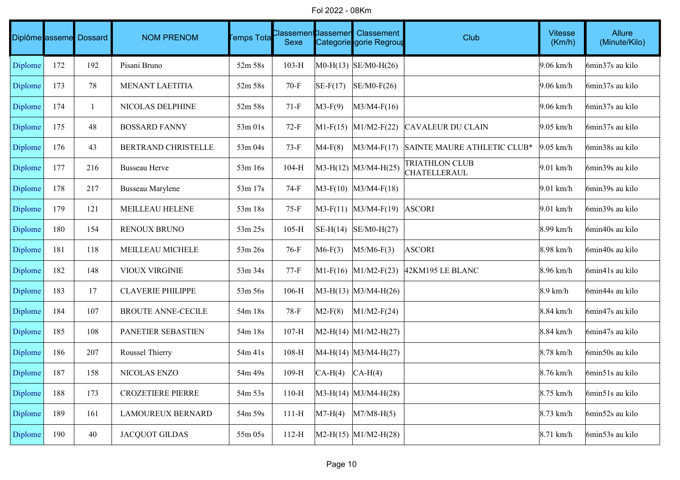Fol 2022 - 08Km

|                |     | Diplôme asseme Dossard | <b>NOM PRENOM</b>         | <b>Temps Tota</b> | :lassemen<br>Sexe | : lassemen | Classement<br>Categorie gorie Regroup | Club                                         | <b>Vitesse</b><br>(Km/h) | Allure<br>(Minute/Kilo) |
|----------------|-----|------------------------|---------------------------|-------------------|-------------------|------------|---------------------------------------|----------------------------------------------|--------------------------|-------------------------|
| Diplome        | 172 | 192                    | Pisani Bruno              | 52m 58s           | $103-H$           |            | $MO-H(13)$ SE/M0-H(26)                |                                              | $9.06$ km/h              | 6min37s au kilo         |
| Diplome        | 173 | 78                     | <b>MENANT LAETITIA</b>    | 52m 58s           | $70-F$            | $SE-F(17)$ | $SE/M0-F(26)$                         |                                              | $9.06$ km/h              | 6min37s au kilo         |
| Diplome        | 174 | $\mathbf{1}$           | NICOLAS DELPHINE          | 52m 58s           | $71-F$            | $M3-F(9)$  | $M3/M4-F(16)$                         |                                              | $9.06$ km/h              | 6min37s au kilo         |
| Diplome        | 175 | 48                     | <b>BOSSARD FANNY</b>      | 53m 01s           | $72-F$            |            | $M1-F(15)$ $M1/M2-F(22)$              | <b>CAVALEUR DU CLAIN</b>                     | $9.05$ km/h              | 6min37s au kilo         |
| Diplome        | 176 | 43                     | BERTRAND CHRISTELLE       | 53m 04s           | $73-F$            | $MA-F(8)$  | $M3/M4-F(17)$                         | SAINTE MAURE ATHLETIC CLUB*                  | $9.05$ km/h              | 6min38s au kilo         |
| Diplome        | 177 | 216                    | <b>Busseau Herve</b>      | 53m 16s           | $104-H$           |            | $M3-H(12)$ $M3/M4-H(25)$              | <b>TRIATHLON CLUB</b><br><b>CHATELLERAUL</b> | $9.01$ km/h              | 6min39s au kilo         |
| Diplome        | 178 | 217                    | <b>Busseau Marylene</b>   | 53m 17s           | $74-F$            |            | $M3-F(10)$ $M3/M4-F(18)$              |                                              | $9.01$ km/h              | 6min39s au kilo         |
| Diplome        | 179 | 121                    | MEILLEAU HELENE           | 53m 18s           | $75-F$            |            | $ M3-F(11)  M3/M4-F(19) $             | <b>ASCORI</b>                                | $9.01$ km/h              | 6min39s au kilo         |
| Diplome        | 180 | 154                    | RENOUX BRUNO              | 53m 25s           | $105-H$           |            | $\vert$ SE-H(14) $\vert$ SE/M0-H(27)  |                                              | 8.99 km/h                | 6min40s au kilo         |
| Diplome        | 181 | 118                    | MEILLEAU MICHELE          | 53m 26s           | $76-F$            | $M6-F(3)$  | $M5/M6-F(3)$                          | <b>ASCORI</b>                                | 8.98 km/h                | 6min40s au kilo         |
| Diplome        | 182 | 148                    | VIOUX VIRGINIE            | 53m 34s           | $77-F$            |            | $M1-F(16)$ $M1/M2-F(23)$              | 42KM195 LE BLANC                             | 8.96 km/h                | 6min41s au kilo         |
| Diplome        | 183 | 17                     | <b>CLAVERIE PHILIPPE</b>  | 53m 56s           | $106-H$           |            | $M3-H(13)$ $M3/M4-H(26)$              |                                              | $8.9 \text{ km/h}$       | 6min44s au kilo         |
| Diplome        | 184 | 107                    | <b>BROUTE ANNE-CECILE</b> | 54m 18s           | 78-F              | $M2-F(8)$  | $M1/M2-F(24)$                         |                                              | 8.84 km/h                | 6min47s au kilo         |
| Diplome        | 185 | 108                    | PANETIER SEBASTIEN        | 54m 18s           | $107-H$           |            | $ M2-H(14)$ $ M1/M2-H(27)$            |                                              | 8.84 km/h                | 6min47s au kilo         |
| Diplome        | 186 | 207                    | Roussel Thierry           | 54m 41s           | $108-H$           |            | $MA-H(14)$ M3/M4-H(27)                |                                              | 8.78 km/h                | 6min50s au kilo         |
| Diplome        | 187 | 158                    | NICOLAS ENZO              | 54m 49s           | $109-H$           | $CA-H(4)$  | $CA-H(4)$                             |                                              | 8.76 km/h                | 6min51s au kilo         |
| Diplome        | 188 | 173                    | <b>CROZETIERE PIERRE</b>  | 54m 53s           | $110-H$           |            | $ M3-H(14)$ $ M3/M4-H(28)$            |                                              | $8.75$ km/h              | 6min51s au kilo         |
| <b>Diplome</b> | 189 | 161                    | LAMOUREUX BERNARD         | 54m 59s           | $111-H$           | $M7-H(4)$  | $M7/M8-H(5)$                          |                                              | $8.73$ km/h              | 6min52s au kilo         |
| Diplome        | 190 | 40                     | <b>JACQUOT GILDAS</b>     | 55m 05s           | $112-H$           |            | $M2-H(15)$ $M1/M2-H(28)$              |                                              | 8.71 km/h                | 6min53s au kilo         |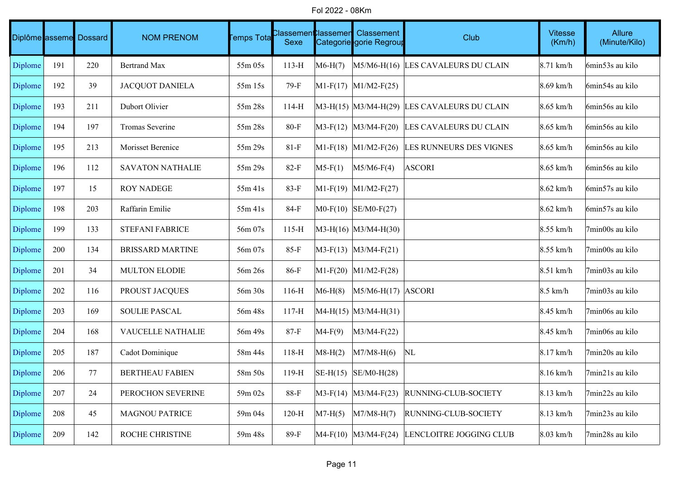Fol 2022 - 08Km

|         |     | Diplôme asseme Dossard | <b>NOM PRENOM</b>       | <b>Femps Tota</b> | :lassement<br>Sexe | ใlassemen  | Classement<br>Categorie gorie Regroup | Club                                        | <b>Vitesse</b><br>(Km/h) | Allure<br>(Minute/Kilo) |
|---------|-----|------------------------|-------------------------|-------------------|--------------------|------------|---------------------------------------|---------------------------------------------|--------------------------|-------------------------|
| Diplome | 191 | 220                    | <b>Bertrand Max</b>     | $55m$ 05s         | $113-H$            | $M6-H(7)$  |                                       | M5/M6-H(16) LES CAVALEURS DU CLAIN          | $8.71$ km/h              | 6min53s au kilo         |
| Diplome | 192 | 39                     | <b>JACQUOT DANIELA</b>  | 55m 15s           | 79-F               |            | $M1-F(17)$ M1/M2-F(25)                |                                             | $8.69$ km/h              | 6min54s au kilo         |
| Diplome | 193 | 211                    | Dubort Olivier          | 55m 28s           | $114-H$            |            |                                       | M3-H(15) M3/M4-H(29) LES CAVALEURS DU CLAIN | $8.65$ km/h              | 6min56s au kilo         |
| Diplome | 194 | 197                    | Tromas Severine         | 55m 28s           | $80-F$             |            | $M3-F(12)$ $M3/M4-F(20)$              | LES CAVALEURS DU CLAIN                      | $8.65$ km/h              | 6min56s au kilo         |
| Diplome | 195 | 213                    | Morisset Berenice       | 55m 29s           | $81-F$             |            | $ M1-F(18)$ $ M1/M2-F(26)$            | LES RUNNEURS DES VIGNES                     | $8.65$ km/h              | 6min56s au kilo         |
| Diplome | 196 | 112                    | <b>SAVATON NATHALIE</b> | 55m 29s           | $82-F$             | $M5-F(1)$  | $M5/M6-F(4)$                          | <b>ASCORI</b>                               | $8.65$ km/h              | 6min56s au kilo         |
| Diplome | 197 | 15                     | <b>ROY NADEGE</b>       | 55m 41s           | $83-F$             |            | $M1-F(19)$ $M1/M2-F(27)$              |                                             | $8.62$ km/h              | 6min57s au kilo         |
| Diplome | 198 | 203                    | Raffarin Emilie         | 55m 41s           | $84-F$             |            | $MO-F(10)$ SE/M0-F(27)                |                                             | $8.62$ km/h              | 6min57s au kilo         |
| Diplome | 199 | 133                    | <b>STEFANI FABRICE</b>  | 56m 07s           | $115-H$            |            | $ M3-H(16) M3/M4-H(30) $              |                                             | $8.55$ km/h              | 7min00s au kilo         |
| Diplome | 200 | 134                    | <b>BRISSARD MARTINE</b> | 56m 07s           | $85-F$             |            | $M3-F(13)$ $M3/M4-F(21)$              |                                             | $8.55$ km/h              | 7min00s au kilo         |
| Diplome | 201 | 34                     | <b>MULTON ELODIE</b>    | 56m 26s           | 86-F               |            | $\vert$ M1-F(20) $\vert$ M1/M2-F(28)  |                                             | $8.51$ km/h              | 7min03s au kilo         |
| Diplome | 202 | 116                    | PROUST JACQUES          | 56m 30s           | $116-H$            | $M6-H(8)$  | $M5/M6-H(17)$ ASCORI                  |                                             | $8.5 \text{ km/h}$       | 7min03s au kilo         |
| Diplome | 203 | 169                    | <b>SOULIE PASCAL</b>    | 56m 48s           | $117-H$            |            | $MA-H(15)$ $M3/M4-H(31)$              |                                             | 8.45 km/h                | 7min06s au kilo         |
| Diplome | 204 | 168                    | VAUCELLE NATHALIE       | 56m 49s           | 87-F               | $MA-F(9)$  | $M3/M4-F(22)$                         |                                             | 8.45 km/h                | 7min06s au kilo         |
| Diplome | 205 | 187                    | Cadot Dominique         | 58m 44s           | $118-H$            | $M8-H(2)$  | $M7/M8-H(6)$                          | NL                                          | $8.17$ km/h              | 7min20s au kilo         |
| Diplome | 206 | 77                     | <b>BERTHEAU FABIEN</b>  | 58m 50s           | $119-H$            |            | $\vert$ SE-H(15) $\vert$ SE/M0-H(28)  |                                             | $8.16$ km/h              | 7min21s au kilo         |
| Diplome | 207 | 24                     | PEROCHON SEVERINE       | 59m 02s           | 88-F               | $M3-F(14)$ | $M3/M4-F(23)$                         | RUNNING-CLUB-SOCIETY                        | $8.13$ km/h              | 7min22s au kilo         |
| Diplome | 208 | 45                     | <b>MAGNOU PATRICE</b>   | 59m 04s           | $120-H$            | $M7-H(5)$  | $M7/M8-H(7)$                          | RUNNING-CLUB-SOCIETY                        | $8.13$ km/h              | 7min23s au kilo         |
| Diplome | 209 | 142                    | ROCHE CHRISTINE         | 59m 48s           | 89-F               |            | $MA-F(10)$ $M3/M4-F(24)$              | LENCLOITRE JOGGING CLUB                     | $8.03$ km/h              | 7min28s au kilo         |